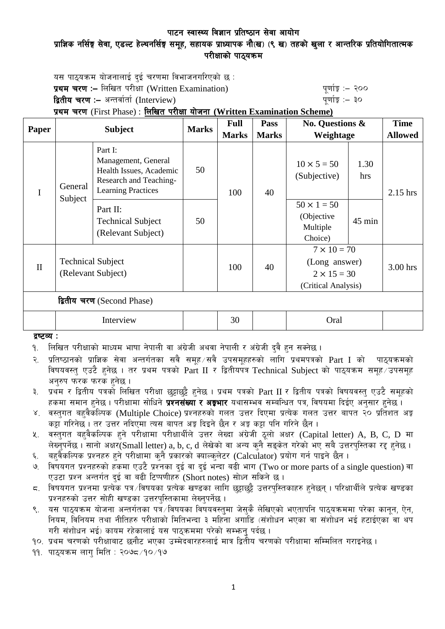## पाटन स्वास्थ्य विज्ञान प्रतिष्ठान सेवा आयोग प्राज्ञिक नर्सिङ्ग सेवा, एडल्ट हेल्थनर्सिङ्ग समूह, सहायक प्राध्यापक नौ(ख) (९ ख) तहको खुला र आन्तरिक प्रतियोगितात्मक परीक्षाको पाठयक्रम

यस पाठ्यक्रम योजनालाई दुई चरणमा विभाजनगरिएको छ : प्रथम चरण :- लिखित परीक्षा (Written Examination) x 200 पूर्णाङ्ग :- २०० द्वितीय चरण :– अन्तर्वार्ता (Interview) katalactic metal metal which we have the set of  $q$ णांङ्क :– ३०

प्रथम चरण (First Phase) : लिखित परीक्षा योजना (Written Examination Scheme)

|                            | <b>Subject</b>                                 |                                                                                                                  | <b>Marks</b> | <b>Full</b>  | <b>Pass</b>  | <b>No. Questions &amp;</b><br>Weightage                                          |             | <b>Time</b>    |
|----------------------------|------------------------------------------------|------------------------------------------------------------------------------------------------------------------|--------------|--------------|--------------|----------------------------------------------------------------------------------|-------------|----------------|
| Paper                      |                                                |                                                                                                                  |              | <b>Marks</b> | <b>Marks</b> |                                                                                  |             | <b>Allowed</b> |
| I                          | General<br>Subject                             | Part I:<br>Management, General<br>Health Issues, Academic<br>Research and Teaching-<br><b>Learning Practices</b> | 50           | 100          | 40           | $10 \times 5 = 50$<br>(Subjective)                                               | 1.30<br>hrs | $2.15$ hrs     |
|                            |                                                | Part II:<br><b>Technical Subject</b><br>(Relevant Subject)                                                       | 50           |              |              | $50 \times 1 = 50$<br>(Objective<br>Multiple<br>Choice)                          | $45$ min    |                |
| $\mathbf{I}$               | <b>Technical Subject</b><br>(Relevant Subject) |                                                                                                                  |              | 100          | 40           | $7 \times 10 = 70$<br>(Long answer)<br>$2 \times 15 = 30$<br>(Critical Analysis) |             | 3.00 hrs       |
| द्वितीय चरण (Second Phase) |                                                |                                                                                                                  |              |              |              |                                                                                  |             |                |
|                            | Interview                                      |                                                                                                                  |              | 30           |              | Oral                                                                             |             |                |

द्रष्टव्य :

<u>9. लिखित परीक्षाको माध्यम भाषा नेपाली वा अंग्रेजी अथवा नेपाली र अंग्रेजी दवै हुन सक्नेछ ।</u>

२. प्रतिष्ठानको प्राज्ञिक सेवा अन्तर्गतका सवै समूह ∕सवै उपसमूहहरुको लागि प्रथमपत्रको Part I को पाठ्यक्रमको विषयवस्त् एउटै हनेछ । तर प्रथम पत्रको Part II र द्वितीयपत्र Technical Subject को पाठ्यक्रम समूह उपसमूह अनरुप फरक फरक हनेछ ।

३. प्रथम र द्वितीय पत्रको लिखित परीक्षा छट्टाछट्टै हनेछ । प्रथम पत्रको Part II र द्वितीय पत्रको विषयवस्त् एउटै समूहको हकमा समान हुनेछ । परीक्षामा सोधिने **प्रश्नसंख्या र अङ्गभार** यथासम्भव सम्बन्धित पत्र, विषयमा दिईए अनुसार हुनेछ ।

- ४. वस्तुगत बहुवैकल्पिक (Multiple Choice) प्रश्नहरुको गलत उत्तर दिएमा प्रत्येक गलत उत्तर बापत २० प्रतिशत अङ्क कट्टा गरिनेछ । तर उत्तर नदिएमा त्यस बापत अड्ड दिइने छैन र अड्ड कट्टा पनि गरिने छैन ।
- ४. वस्तुगत बहुवैकल्पिक हुने परीक्षामा परीक्षार्थीले उत्तर लेख्दा अंग्रेजी ठुलो अक्षर (Capital letter) A, B, C, D मा लेख्नुपर्नेछ । सानो अक्षर(Small letter) a, b, c, d लेखेको वा अन्य कुनै सङ्केत गरेको भए सबै उत्तरपुस्तिका रद्द हुनेछ ।
- ६. वहवैकल्पिक प्रश्नहरु हुने परीक्षामा कनै प्रकारको क्याल्कलेटर (Calculator) प्रयोग गर्न पाइने छैन ।
- ७. विषयगत प्रश्नहरुको हकमा एउटै प्रश्नका दई वा दई भन्दा बढी भाग (Two or more parts of a single question) वा एउटा प्रश्न अन्तर्गत दुई वा बढी टिप्पणीहरु (Short notes) सोध्न सकिने छ।
- $\,$ द. विषयगत प्रश्नमा प्रत्येक पत्र विषयका प्रत्येक खण्डका लागि छुट्टाछुट्टै उत्तरपस्तिकाहरु हनेछन् । परिक्षार्थीले प्रत्येक खण्डका प्रश्नहरुको उत्तर सोही खण्डका उत्तरपुस्तिकामा लेख्नुपर्नेछ ।
- ९. यस पाठ्यक्रम योजना अन्तर्गतका पत्रॅ ∕विषयका विषयवस्त्**मा जेस्**कै लेखिएको भएतापनि पाठ्यक्रममा परेका कानून, ऐन, नियम, विनियम तथा नीतिहरु परीक्षाको मितिभन्दा ३ महिना अगाडि (संशोधन भएका वा संशोधन भई हटाईएका वा थप गरी संशोधन भई) कायम रहेकालाई यस पाठकममा परेको सम्भन पर्दछ ।

<u>१</u>०. प्रथम चरणको परीक्षाबाट छनौट भएका उम्मेदवारहरुलाई मात्र द्वितीय चरणको परीक्षामा सम्मिलित गराइनेछ ।

 $99.$  पाठयक्रम लाग मिति : २०७८ $/90/9$ ७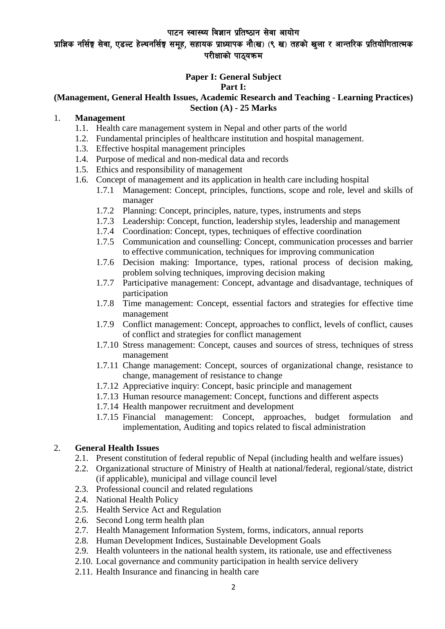## प्राज्ञिक नर्सिङ्ग सेवा, एडल्ट हेल्थनर्सिङ्ग समूह, सहायक प्राध्यापक नौ(ख) (९ ख) तहको खुला र आन्तरिक प्रतियोगितात्मक परीक्षाको पाठ्यक्रम

## **Paper I: General Subject**

#### **Part I:**

### **(Management, General Health Issues, Academic Research and Teaching - Learning Practices) Section (A) - 25 Marks**

### 1. **Management**

- 1.1. Health care management system in Nepal and other parts of the world
- 1.2. Fundamental principles of healthcare institution and hospital management.
- 1.3. Effective hospital management principles
- 1.4. Purpose of medical and non-medical data and records
- 1.5. Ethics and responsibility of management
- 1.6. Concept of management and its application in health care including hospital
	- 1.7.1 Management: Concept, principles, functions, scope and role, level and skills of manager
	- 1.7.2 Planning: Concept, principles, nature, types, instruments and steps
	- 1.7.3 Leadership: Concept, function, leadership styles, leadership and management
	- 1.7.4 Coordination: Concept, types, techniques of effective coordination
	- 1.7.5 Communication and counselling: Concept, communication processes and barrier to effective communication, techniques for improving communication
	- 1.7.6 Decision making: Importance, types, rational process of decision making, problem solving techniques, improving decision making
	- 1.7.7 Participative management: Concept, advantage and disadvantage, techniques of participation
	- 1.7.8 Time management: Concept, essential factors and strategies for effective time management
	- 1.7.9 Conflict management: Concept, approaches to conflict, levels of conflict, causes of conflict and strategies for conflict management
	- 1.7.10 Stress management: Concept, causes and sources of stress, techniques of stress management
	- 1.7.11 Change management: Concept, sources of organizational change, resistance to change, management of resistance to change
	- 1.7.12 Appreciative inquiry: Concept, basic principle and management
	- 1.7.13 Human resource management: Concept, functions and different aspects
	- 1.7.14 Health manpower recruitment and development
	- 1.7.15 Financial management: Concept, approaches, budget formulation and implementation, Auditing and topics related to fiscal administration

## 2. **General Health Issues**

- 2.1. Present constitution of federal republic of Nepal (including health and welfare issues)
- 2.2. Organizational structure of Ministry of Health at national/federal, regional/state, district (if applicable), municipal and village council level
- 2.3. Professional council and related regulations
- 2.4. National Health Policy
- 2.5. Health Service Act and Regulation
- 2.6. Second Long term health plan
- 2.7. Health Management Information System, forms, indicators, annual reports
- 2.8. Human Development Indices, Sustainable Development Goals
- 2.9. Health volunteers in the national health system, its rationale, use and effectiveness
- 2.10. Local governance and community participation in health service delivery
- 2.11. Health Insurance and financing in health care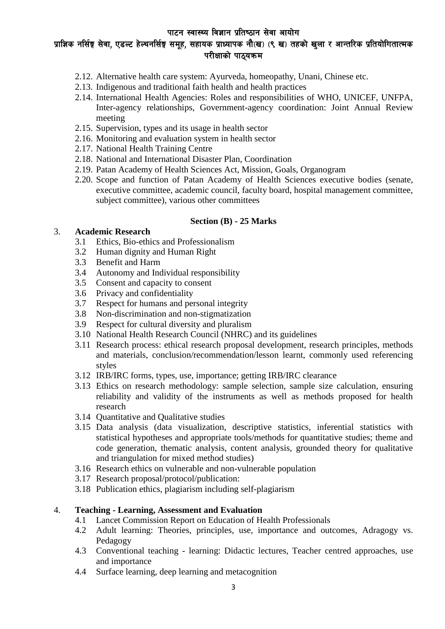## प्राज्ञिक नर्सिङ्ग सेवा, एडल्ट हेल्थनर्सिङ्ग समूह, सहायक प्राध्यापक नौ(ख) (९ ख) तहको खुला र आन्तरिक प्रतियोगितात्मक परीक्षाको पाठयक्रम

- 2.12. Alternative health care system: Ayurveda, homeopathy, Unani, Chinese etc.
- 2.13. Indigenous and traditional faith health and health practices
- 2.14. International Health Agencies: Roles and responsibilities of WHO, UNICEF, UNFPA, Inter-agency relationships, Government-agency coordination: Joint Annual Review meeting
- 2.15. Supervision, types and its usage in health sector
- 2.16. Monitoring and evaluation system in health sector
- 2.17. National Health Training Centre
- 2.18. National and International Disaster Plan, Coordination
- 2.19. Patan Academy of Health Sciences Act, Mission, Goals, Organogram
- 2.20. Scope and function of Patan Academy of Health Sciences executive bodies (senate, executive committee, academic council, faculty board, hospital management committee, subject committee), various other committees

#### **Section (B) - 25 Marks**

#### 3. **Academic Research**

- 3.1 Ethics, Bio-ethics and Professionalism
- 3.2 Human dignity and Human Right
- 3.3 Benefit and Harm
- 3.4 Autonomy and Individual responsibility
- 3.5 Consent and capacity to consent
- 3.6 Privacy and confidentiality
- 3.7 Respect for humans and personal integrity
- 3.8 Non-discrimination and non-stigmatization
- 3.9 Respect for cultural diversity and pluralism
- 3.10 National Health Research Council (NHRC) and its guidelines
- 3.11 Research process: ethical research proposal development, research principles, methods and materials, conclusion/recommendation/lesson learnt, commonly used referencing styles
- 3.12 IRB/IRC forms, types, use, importance; getting IRB/IRC clearance
- 3.13 Ethics on research methodology: sample selection, sample size calculation, ensuring reliability and validity of the instruments as well as methods proposed for health research
- 3.14 Quantitative and Qualitative studies
- 3.15 Data analysis (data visualization, descriptive statistics, inferential statistics with statistical hypotheses and appropriate tools/methods for quantitative studies; theme and code generation, thematic analysis, content analysis, grounded theory for qualitative and triangulation for mixed method studies)
- 3.16 Research ethics on vulnerable and non-vulnerable population
- 3.17 Research proposal/protocol/publication:
- 3.18 Publication ethics, plagiarism including self-plagiarism

## 4. **Teaching - Learning, Assessment and Evaluation**

- 4.1 Lancet Commission Report on Education of Health Professionals
- 4.2 Adult learning: Theories, principles, use, importance and outcomes, Adragogy vs. Pedagogy
- 4.3 Conventional teaching learning: Didactic lectures, Teacher centred approaches, use and importance
- 4.4 Surface learning, deep learning and metacognition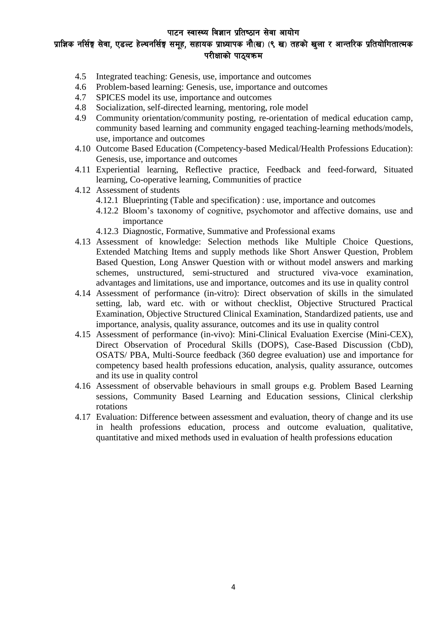प्राज्ञिक नर्सिङ्ग सेवा, एडल्ट हेल्थनर्सिङ्ग समूह, सहायक प्राध्यापक नौ(ख) (९ ख) तहको खुला र आन्तरिक प्रतियोगितात्मक परीक्षाको पाठयक्रम

- 4.5 Integrated teaching: Genesis, use, importance and outcomes
- 4.6 Problem-based learning: Genesis, use, importance and outcomes
- 4.7 SPICES model its use, importance and outcomes
- 4.8 Socialization, self-directed learning, mentoring, role model
- 4.9 Community orientation/community posting, re-orientation of medical education camp, community based learning and community engaged teaching-learning methods/models, use, importance and outcomes
- 4.10 Outcome Based Education (Competency-based Medical/Health Professions Education): Genesis, use, importance and outcomes
- 4.11 Experiential learning, Reflective practice, Feedback and feed-forward, Situated learning, Co-operative learning, Communities of practice
- 4.12 Assessment of students
	- 4.12.1 Blueprinting (Table and specification) : use, importance and outcomes
	- 4.12.2 Bloom's taxonomy of cognitive, psychomotor and affective domains, use and importance
	- 4.12.3 Diagnostic, Formative, Summative and Professional exams
- 4.13 Assessment of knowledge: Selection methods like Multiple Choice Questions, Extended Matching Items and supply methods like Short Answer Question, Problem Based Question, Long Answer Question with or without model answers and marking schemes, unstructured, semi-structured and structured viva-voce examination, advantages and limitations, use and importance, outcomes and its use in quality control
- 4.14 Assessment of performance (in-vitro): Direct observation of skills in the simulated setting, lab, ward etc. with or without checklist, Objective Structured Practical Examination, Objective Structured Clinical Examination, Standardized patients, use and importance, analysis, quality assurance, outcomes and its use in quality control
- 4.15 Assessment of performance (in-vivo): Mini-Clinical Evaluation Exercise (Mini-CEX), Direct Observation of Procedural Skills (DOPS), Case-Based Discussion (CbD), OSATS/ PBA, Multi-Source feedback (360 degree evaluation) use and importance for competency based health professions education, analysis, quality assurance, outcomes and its use in quality control
- 4.16 Assessment of observable behaviours in small groups e.g. Problem Based Learning sessions, Community Based Learning and Education sessions, Clinical clerkship rotations
- 4.17 Evaluation: Difference between assessment and evaluation, theory of change and its use in health professions education, process and outcome evaluation, qualitative, quantitative and mixed methods used in evaluation of health professions education